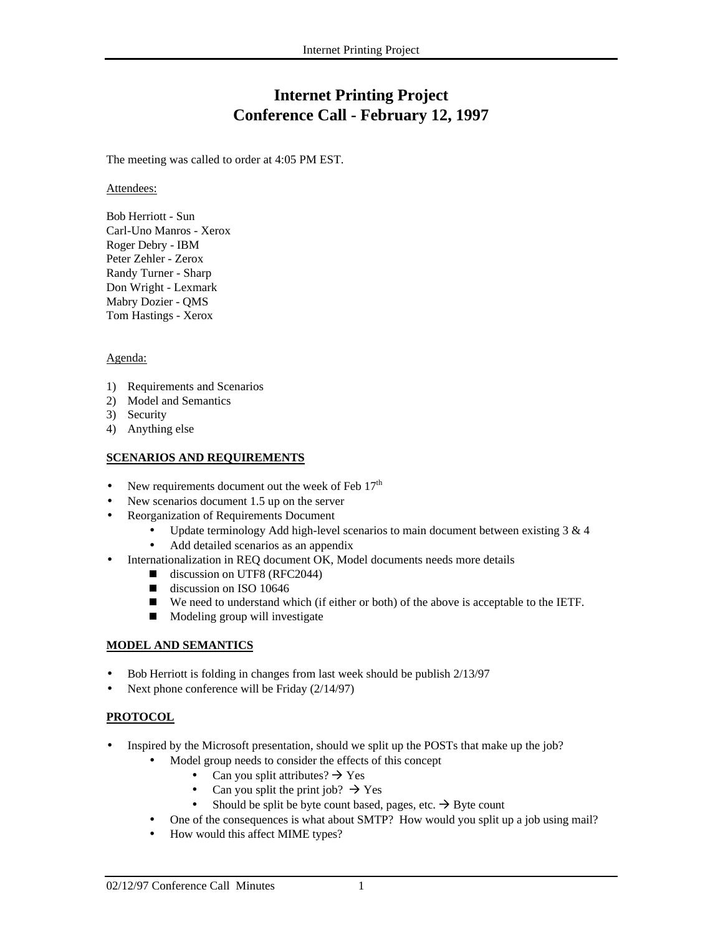# **Internet Printing Project Conference Call - February 12, 1997**

The meeting was called to order at 4:05 PM EST.

Attendees:

Bob Herriott - Sun Carl-Uno Manros - Xerox Roger Debry - IBM Peter Zehler - Zerox Randy Turner - Sharp Don Wright - Lexmark Mabry Dozier - QMS Tom Hastings - Xerox

#### Agenda:

- 1) Requirements and Scenarios
- 2) Model and Semantics
- 3) Security
- 4) Anything else

#### **SCENARIOS AND REQUIREMENTS**

- New requirements document out the week of Feb  $17<sup>th</sup>$
- New scenarios document 1.5 up on the server
- Reorganization of Requirements Document
	- Update terminology Add high-level scenarios to main document between existing  $3 \& 4$
	- Add detailed scenarios as an appendix
- Internationalization in REQ document OK, Model documents needs more details
	- discussion on UTF8 (RFC2044)
	- discussion on ISO 10646
	- We need to understand which (if either or both) of the above is acceptable to the IETF.
	- **Modeling group will investigate**

#### **MODEL AND SEMANTICS**

- Bob Herriott is folding in changes from last week should be publish 2/13/97
- Next phone conference will be Friday (2/14/97)

#### **PROTOCOL**

- Inspired by the Microsoft presentation, should we split up the POSTs that make up the job?
	- Model group needs to consider the effects of this concept
		- Can you split attributes?  $\rightarrow$  Yes
		- Can you split the print job?  $\rightarrow$  Yes
		- Should be split be byte count based, pages, etc.  $\rightarrow$  Byte count
	- One of the consequences is what about SMTP? How would you split up a job using mail?
	- How would this affect MIME types?